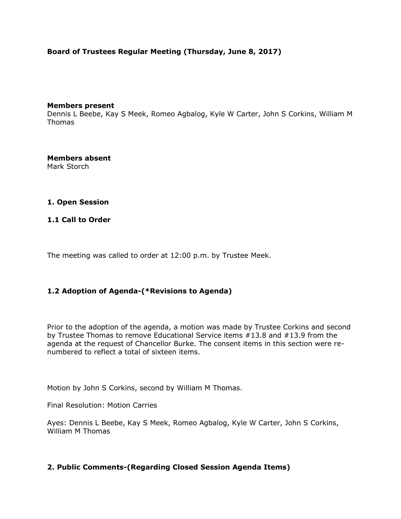# **Board of Trustees Regular Meeting (Thursday, June 8, 2017)**

#### **Members present**

Dennis L Beebe, Kay S Meek, Romeo Agbalog, Kyle W Carter, John S Corkins, William M Thomas

**Members absent** Mark Storch

#### **1. Open Session**

#### **1.1 Call to Order**

The meeting was called to order at 12:00 p.m. by Trustee Meek.

## **1.2 Adoption of Agenda-(\*Revisions to Agenda)**

Prior to the adoption of the agenda, a motion was made by Trustee Corkins and second by Trustee Thomas to remove Educational Service items #13.8 and #13.9 from the agenda at the request of Chancellor Burke. The consent items in this section were renumbered to reflect a total of sixteen items.

Motion by John S Corkins, second by William M Thomas.

Final Resolution: Motion Carries

Ayes: Dennis L Beebe, Kay S Meek, Romeo Agbalog, Kyle W Carter, John S Corkins, William M Thomas

## **2. Public Comments-(Regarding Closed Session Agenda Items)**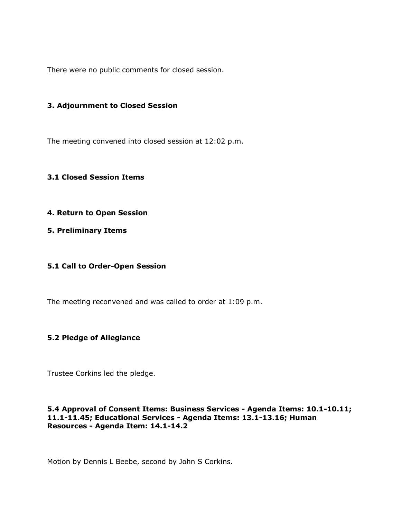There were no public comments for closed session.

#### **3. Adjournment to Closed Session**

The meeting convened into closed session at 12:02 p.m.

#### **3.1 Closed Session Items**

- **4. Return to Open Session**
- **5. Preliminary Items**

## **5.1 Call to Order-Open Session**

The meeting reconvened and was called to order at 1:09 p.m.

## **5.2 Pledge of Allegiance**

Trustee Corkins led the pledge.

#### **5.4 Approval of Consent Items: Business Services - Agenda Items: 10.1-10.11; 11.1-11.45; Educational Services - Agenda Items: 13.1-13.16; Human Resources - Agenda Item: 14.1-14.2**

Motion by Dennis L Beebe, second by John S Corkins.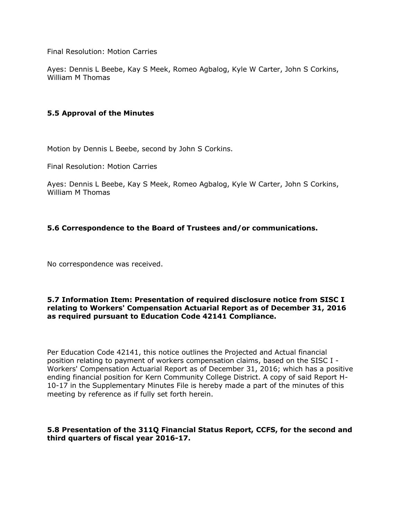Final Resolution: Motion Carries

Ayes: Dennis L Beebe, Kay S Meek, Romeo Agbalog, Kyle W Carter, John S Corkins, William M Thomas

# **5.5 Approval of the Minutes**

Motion by Dennis L Beebe, second by John S Corkins.

Final Resolution: Motion Carries

Ayes: Dennis L Beebe, Kay S Meek, Romeo Agbalog, Kyle W Carter, John S Corkins, William M Thomas

# **5.6 Correspondence to the Board of Trustees and/or communications.**

No correspondence was received.

#### **5.7 Information Item: Presentation of required disclosure notice from SISC I relating to Workers' Compensation Actuarial Report as of December 31, 2016 as required pursuant to Education Code 42141 Compliance.**

Per Education Code 42141, this notice outlines the Projected and Actual financial position relating to payment of workers compensation claims, based on the SISC I - Workers' Compensation Actuarial Report as of December 31, 2016; which has a positive ending financial position for Kern Community College District. A copy of said Report H-10-17 in the Supplementary Minutes File is hereby made a part of the minutes of this meeting by reference as if fully set forth herein.

## **5.8 Presentation of the 311Q Financial Status Report, CCFS, for the second and third quarters of fiscal year 2016-17.**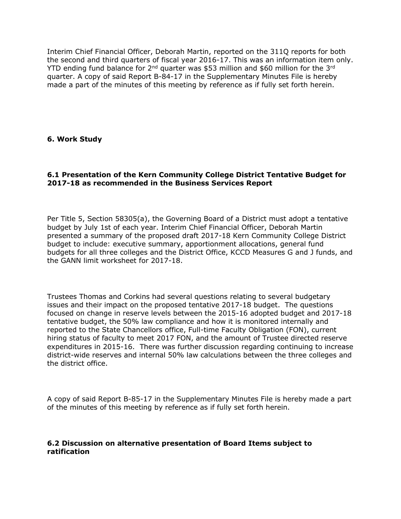Interim Chief Financial Officer, Deborah Martin, reported on the 311Q reports for both the second and third quarters of fiscal year 2016-17. This was an information item only. YTD ending fund balance for  $2^{nd}$  quarter was \$53 million and \$60 million for the 3<sup>rd</sup> quarter. A copy of said Report B-84-17 in the Supplementary Minutes File is hereby made a part of the minutes of this meeting by reference as if fully set forth herein.

## **6. Work Study**

## **6.1 Presentation of the Kern Community College District Tentative Budget for 2017-18 as recommended in the Business Services Report**

Per Title 5, Section 58305(a), the Governing Board of a District must adopt a tentative budget by July 1st of each year. Interim Chief Financial Officer, Deborah Martin presented a summary of the proposed draft 2017-18 Kern Community College District budget to include: executive summary, apportionment allocations, general fund budgets for all three colleges and the District Office, KCCD Measures G and J funds, and the GANN limit worksheet for 2017-18.

Trustees Thomas and Corkins had several questions relating to several budgetary issues and their impact on the proposed tentative 2017-18 budget. The questions focused on change in reserve levels between the 2015-16 adopted budget and 2017-18 tentative budget, the 50% law compliance and how it is monitored internally and reported to the State Chancellors office, Full-time Faculty Obligation (FON), current hiring status of faculty to meet 2017 FON, and the amount of Trustee directed reserve expenditures in 2015-16. There was further discussion regarding continuing to increase district-wide reserves and internal 50% law calculations between the three colleges and the district office.

A copy of said Report B-85-17 in the Supplementary Minutes File is hereby made a part of the minutes of this meeting by reference as if fully set forth herein.

#### **6.2 Discussion on alternative presentation of Board Items subject to ratification**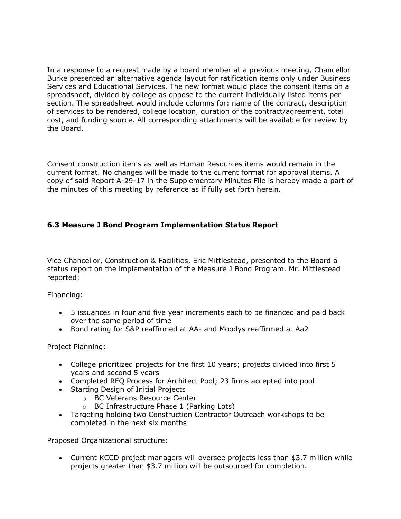In a response to a request made by a board member at a previous meeting, Chancellor Burke presented an alternative agenda layout for ratification items only under Business Services and Educational Services. The new format would place the consent items on a spreadsheet, divided by college as oppose to the current individually listed items per section. The spreadsheet would include columns for: name of the contract, description of services to be rendered, college location, duration of the contract/agreement, total cost, and funding source. All corresponding attachments will be available for review by the Board.

Consent construction items as well as Human Resources items would remain in the current format. No changes will be made to the current format for approval items. A copy of said Report A-29-17 in the Supplementary Minutes File is hereby made a part of the minutes of this meeting by reference as if fully set forth herein.

# **6.3 Measure J Bond Program Implementation Status Report**

Vice Chancellor, Construction & Facilities, Eric Mittlestead, presented to the Board a status report on the implementation of the Measure J Bond Program. Mr. Mittlestead reported:

Financing:

- 5 issuances in four and five year increments each to be financed and paid back over the same period of time
- Bond rating for S&P reaffirmed at AA- and Moodys reaffirmed at Aa2

Project Planning:

- College prioritized projects for the first 10 years; projects divided into first 5 years and second 5 years
- Completed RFQ Process for Architect Pool; 23 firms accepted into pool
- Starting Design of Initial Projects
	- o BC Veterans Resource Center
		- o BC Infrastructure Phase 1 (Parking Lots)
- Targeting holding two Construction Contractor Outreach workshops to be completed in the next six months

Proposed Organizational structure:

 Current KCCD project managers will oversee projects less than \$3.7 million while projects greater than \$3.7 million will be outsourced for completion.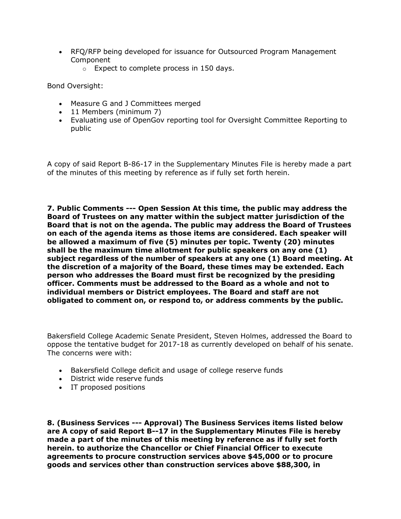- RFQ/RFP being developed for issuance for Outsourced Program Management Component
	- o Expect to complete process in 150 days.

Bond Oversight:

- Measure G and J Committees merged
- 11 Members (minimum 7)
- Evaluating use of OpenGov reporting tool for Oversight Committee Reporting to public

A copy of said Report B-86-17 in the Supplementary Minutes File is hereby made a part of the minutes of this meeting by reference as if fully set forth herein.

**7. Public Comments --- Open Session At this time, the public may address the Board of Trustees on any matter within the subject matter jurisdiction of the Board that is not on the agenda. The public may address the Board of Trustees on each of the agenda items as those items are considered. Each speaker will be allowed a maximum of five (5) minutes per topic. Twenty (20) minutes shall be the maximum time allotment for public speakers on any one (1) subject regardless of the number of speakers at any one (1) Board meeting. At the discretion of a majority of the Board, these times may be extended. Each person who addresses the Board must first be recognized by the presiding officer. Comments must be addressed to the Board as a whole and not to individual members or District employees. The Board and staff are not obligated to comment on, or respond to, or address comments by the public.**

Bakersfield College Academic Senate President, Steven Holmes, addressed the Board to oppose the tentative budget for 2017-18 as currently developed on behalf of his senate. The concerns were with:

- Bakersfield College deficit and usage of college reserve funds
- District wide reserve funds
- IT proposed positions

**8. (Business Services --- Approval) The Business Services items listed below are A copy of said Report B--17 in the Supplementary Minutes File is hereby made a part of the minutes of this meeting by reference as if fully set forth herein. to authorize the Chancellor or Chief Financial Officer to execute agreements to procure construction services above \$45,000 or to procure goods and services other than construction services above \$88,300, in**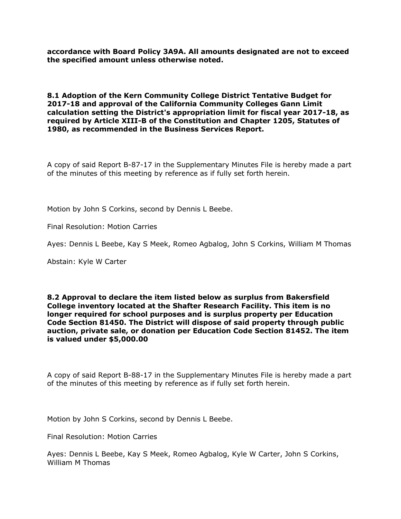**accordance with Board Policy 3A9A. All amounts designated are not to exceed the specified amount unless otherwise noted.**

#### **8.1 Adoption of the Kern Community College District Tentative Budget for 2017-18 and approval of the California Community Colleges Gann Limit calculation setting the District's appropriation limit for fiscal year 2017-18, as required by Article XIII-B of the Constitution and Chapter 1205, Statutes of 1980, as recommended in the Business Services Report.**

A copy of said Report B-87-17 in the Supplementary Minutes File is hereby made a part of the minutes of this meeting by reference as if fully set forth herein.

Motion by John S Corkins, second by Dennis L Beebe.

Final Resolution: Motion Carries

Ayes: Dennis L Beebe, Kay S Meek, Romeo Agbalog, John S Corkins, William M Thomas

Abstain: Kyle W Carter

#### **8.2 Approval to declare the item listed below as surplus from Bakersfield College inventory located at the Shafter Research Facility. This item is no longer required for school purposes and is surplus property per Education Code Section 81450. The District will dispose of said property through public auction, private sale, or donation per Education Code Section 81452. The item is valued under \$5,000.00**

A copy of said Report B-88-17 in the Supplementary Minutes File is hereby made a part of the minutes of this meeting by reference as if fully set forth herein.

Motion by John S Corkins, second by Dennis L Beebe.

Final Resolution: Motion Carries

Ayes: Dennis L Beebe, Kay S Meek, Romeo Agbalog, Kyle W Carter, John S Corkins, William M Thomas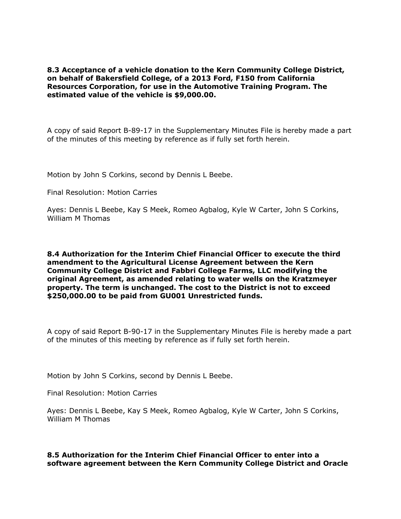**8.3 Acceptance of a vehicle donation to the Kern Community College District, on behalf of Bakersfield College, of a 2013 Ford, F150 from California Resources Corporation, for use in the Automotive Training Program. The estimated value of the vehicle is \$9,000.00.**

A copy of said Report B-89-17 in the Supplementary Minutes File is hereby made a part of the minutes of this meeting by reference as if fully set forth herein.

Motion by John S Corkins, second by Dennis L Beebe.

Final Resolution: Motion Carries

Ayes: Dennis L Beebe, Kay S Meek, Romeo Agbalog, Kyle W Carter, John S Corkins, William M Thomas

**8.4 Authorization for the Interim Chief Financial Officer to execute the third amendment to the Agricultural License Agreement between the Kern Community College District and Fabbri College Farms, LLC modifying the original Agreement, as amended relating to water wells on the Kratzmeyer property. The term is unchanged. The cost to the District is not to exceed \$250,000.00 to be paid from GU001 Unrestricted funds.**

A copy of said Report B-90-17 in the Supplementary Minutes File is hereby made a part of the minutes of this meeting by reference as if fully set forth herein.

Motion by John S Corkins, second by Dennis L Beebe.

Final Resolution: Motion Carries

Ayes: Dennis L Beebe, Kay S Meek, Romeo Agbalog, Kyle W Carter, John S Corkins, William M Thomas

**8.5 Authorization for the Interim Chief Financial Officer to enter into a software agreement between the Kern Community College District and Oracle**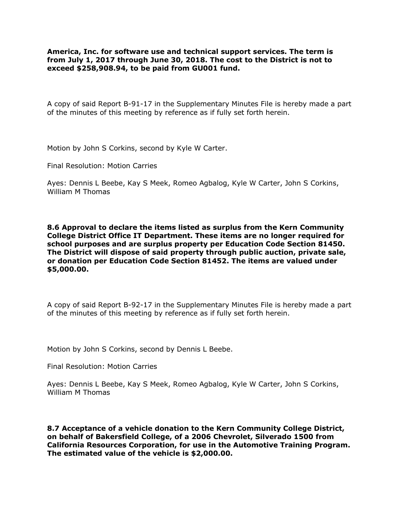**America, Inc. for software use and technical support services. The term is from July 1, 2017 through June 30, 2018. The cost to the District is not to exceed \$258,908.94, to be paid from GU001 fund.**

A copy of said Report B-91-17 in the Supplementary Minutes File is hereby made a part of the minutes of this meeting by reference as if fully set forth herein.

Motion by John S Corkins, second by Kyle W Carter.

Final Resolution: Motion Carries

Ayes: Dennis L Beebe, Kay S Meek, Romeo Agbalog, Kyle W Carter, John S Corkins, William M Thomas

**8.6 Approval to declare the items listed as surplus from the Kern Community College District Office IT Department. These items are no longer required for school purposes and are surplus property per Education Code Section 81450. The District will dispose of said property through public auction, private sale, or donation per Education Code Section 81452. The items are valued under \$5,000.00.**

A copy of said Report B-92-17 in the Supplementary Minutes File is hereby made a part of the minutes of this meeting by reference as if fully set forth herein.

Motion by John S Corkins, second by Dennis L Beebe.

Final Resolution: Motion Carries

Ayes: Dennis L Beebe, Kay S Meek, Romeo Agbalog, Kyle W Carter, John S Corkins, William M Thomas

**8.7 Acceptance of a vehicle donation to the Kern Community College District, on behalf of Bakersfield College, of a 2006 Chevrolet, Silverado 1500 from California Resources Corporation, for use in the Automotive Training Program. The estimated value of the vehicle is \$2,000.00.**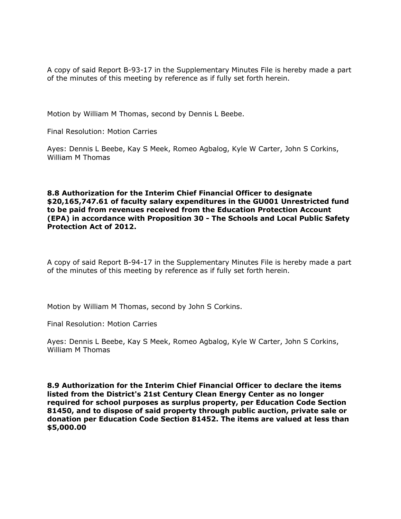A copy of said Report B-93-17 in the Supplementary Minutes File is hereby made a part of the minutes of this meeting by reference as if fully set forth herein.

Motion by William M Thomas, second by Dennis L Beebe.

Final Resolution: Motion Carries

Ayes: Dennis L Beebe, Kay S Meek, Romeo Agbalog, Kyle W Carter, John S Corkins, William M Thomas

#### **8.8 Authorization for the Interim Chief Financial Officer to designate \$20,165,747.61 of faculty salary expenditures in the GU001 Unrestricted fund to be paid from revenues received from the Education Protection Account (EPA) in accordance with Proposition 30 - The Schools and Local Public Safety Protection Act of 2012.**

A copy of said Report B-94-17 in the Supplementary Minutes File is hereby made a part of the minutes of this meeting by reference as if fully set forth herein.

Motion by William M Thomas, second by John S Corkins.

Final Resolution: Motion Carries

Ayes: Dennis L Beebe, Kay S Meek, Romeo Agbalog, Kyle W Carter, John S Corkins, William M Thomas

**8.9 Authorization for the Interim Chief Financial Officer to declare the items listed from the District's 21st Century Clean Energy Center as no longer required for school purposes as surplus property, per Education Code Section 81450, and to dispose of said property through public auction, private sale or donation per Education Code Section 81452. The items are valued at less than \$5,000.00**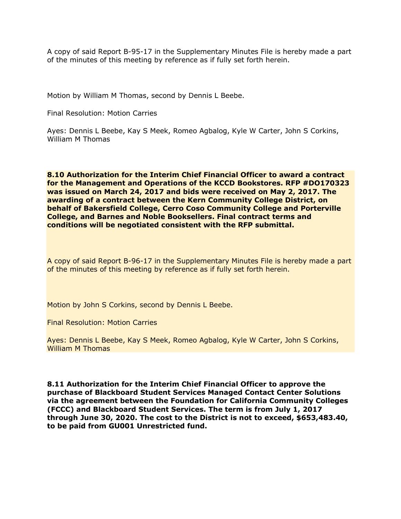A copy of said Report B-95-17 in the Supplementary Minutes File is hereby made a part of the minutes of this meeting by reference as if fully set forth herein.

Motion by William M Thomas, second by Dennis L Beebe.

Final Resolution: Motion Carries

Ayes: Dennis L Beebe, Kay S Meek, Romeo Agbalog, Kyle W Carter, John S Corkins, William M Thomas

**8.10 Authorization for the Interim Chief Financial Officer to award a contract for the Management and Operations of the KCCD Bookstores. RFP #DO170323 was issued on March 24, 2017 and bids were received on May 2, 2017. The awarding of a contract between the Kern Community College District, on behalf of Bakersfield College, Cerro Coso Community College and Porterville College, and Barnes and Noble Booksellers. Final contract terms and conditions will be negotiated consistent with the RFP submittal.**

A copy of said Report B-96-17 in the Supplementary Minutes File is hereby made a part of the minutes of this meeting by reference as if fully set forth herein.

Motion by John S Corkins, second by Dennis L Beebe.

Final Resolution: Motion Carries

Ayes: Dennis L Beebe, Kay S Meek, Romeo Agbalog, Kyle W Carter, John S Corkins, William M Thomas

**8.11 Authorization for the Interim Chief Financial Officer to approve the purchase of Blackboard Student Services Managed Contact Center Solutions via the agreement between the Foundation for California Community Colleges (FCCC) and Blackboard Student Services. The term is from July 1, 2017 through June 30, 2020. The cost to the District is not to exceed, \$653,483.40, to be paid from GU001 Unrestricted fund.**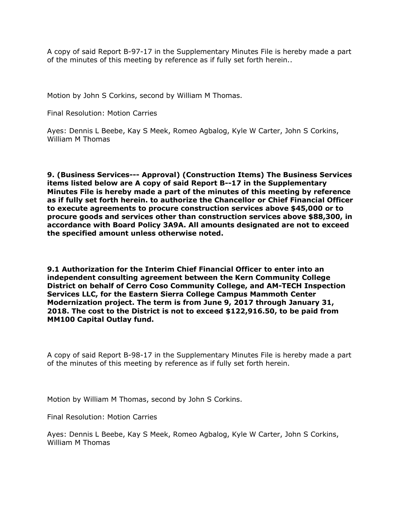A copy of said Report B-97-17 in the Supplementary Minutes File is hereby made a part of the minutes of this meeting by reference as if fully set forth herein..

Motion by John S Corkins, second by William M Thomas.

Final Resolution: Motion Carries

Ayes: Dennis L Beebe, Kay S Meek, Romeo Agbalog, Kyle W Carter, John S Corkins, William M Thomas

**9. (Business Services--- Approval) (Construction Items) The Business Services items listed below are A copy of said Report B--17 in the Supplementary Minutes File is hereby made a part of the minutes of this meeting by reference as if fully set forth herein. to authorize the Chancellor or Chief Financial Officer to execute agreements to procure construction services above \$45,000 or to procure goods and services other than construction services above \$88,300, in accordance with Board Policy 3A9A. All amounts designated are not to exceed the specified amount unless otherwise noted.**

**9.1 Authorization for the Interim Chief Financial Officer to enter into an independent consulting agreement between the Kern Community College District on behalf of Cerro Coso Community College, and AM-TECH Inspection Services LLC, for the Eastern Sierra College Campus Mammoth Center Modernization project. The term is from June 9, 2017 through January 31, 2018. The cost to the District is not to exceed \$122,916.50, to be paid from MM100 Capital Outlay fund.**

A copy of said Report B-98-17 in the Supplementary Minutes File is hereby made a part of the minutes of this meeting by reference as if fully set forth herein.

Motion by William M Thomas, second by John S Corkins.

Final Resolution: Motion Carries

Ayes: Dennis L Beebe, Kay S Meek, Romeo Agbalog, Kyle W Carter, John S Corkins, William M Thomas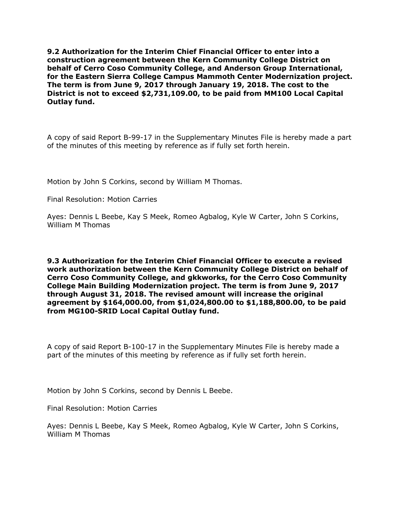**9.2 Authorization for the Interim Chief Financial Officer to enter into a construction agreement between the Kern Community College District on behalf of Cerro Coso Community College, and Anderson Group International, for the Eastern Sierra College Campus Mammoth Center Modernization project. The term is from June 9, 2017 through January 19, 2018. The cost to the District is not to exceed \$2,731,109.00, to be paid from MM100 Local Capital Outlay fund.**

A copy of said Report B-99-17 in the Supplementary Minutes File is hereby made a part of the minutes of this meeting by reference as if fully set forth herein.

Motion by John S Corkins, second by William M Thomas.

Final Resolution: Motion Carries

Ayes: Dennis L Beebe, Kay S Meek, Romeo Agbalog, Kyle W Carter, John S Corkins, William M Thomas

**9.3 Authorization for the Interim Chief Financial Officer to execute a revised work authorization between the Kern Community College District on behalf of Cerro Coso Community College, and gkkworks, for the Cerro Coso Community College Main Building Modernization project. The term is from June 9, 2017 through August 31, 2018. The revised amount will increase the original agreement by \$164,000.00, from \$1,024,800.00 to \$1,188,800.00, to be paid from MG100-SRID Local Capital Outlay fund.**

A copy of said Report B-100-17 in the Supplementary Minutes File is hereby made a part of the minutes of this meeting by reference as if fully set forth herein.

Motion by John S Corkins, second by Dennis L Beebe.

Final Resolution: Motion Carries

Ayes: Dennis L Beebe, Kay S Meek, Romeo Agbalog, Kyle W Carter, John S Corkins, William M Thomas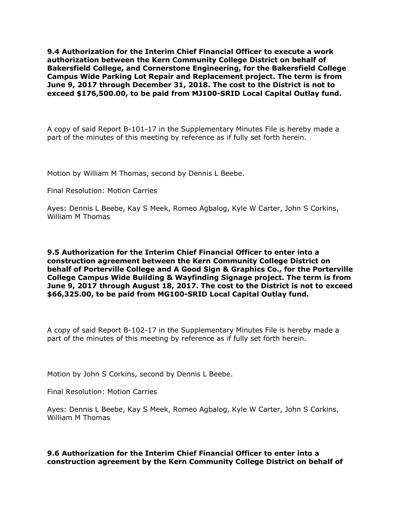**9.4 Authorization for the Interim Chief Financial Officer to execute a work authorization between the Kern Community College District on behalf of Bakersfield College, and Cornerstone Engineering, for the Bakersfield College Campus Wide Parking Lot Repair and Replacement project. The term is from June 9, 2017 through December 31, 2018. The cost to the District is not to exceed \$176,500.00, to be paid from MJ100-SRID Local Capital Outlay fund.**

A copy of said Report B-101-17 in the Supplementary Minutes File is hereby made a part of the minutes of this meeting by reference as if fully set forth herein.

Motion by William M Thomas, second by Dennis L Beebe.

Final Resolution: Motion Carries

Ayes: Dennis L Beebe, Kay S Meek, Romeo Agbalog, Kyle W Carter, John S Corkins, William M Thomas

**9.5 Authorization for the Interim Chief Financial Officer to enter into a construction agreement between the Kern Community College District on behalf of Porterville College and A Good Sign & Graphics Co., for the Porterville College Campus Wide Building & Wayfinding Signage project. The term is from June 9, 2017 through August 18, 2017. The cost to the District is not to exceed \$66,325.00, to be paid from MG100-SRID Local Capital Outlay fund.**

A copy of said Report B-102-17 in the Supplementary Minutes File is hereby made a part of the minutes of this meeting by reference as if fully set forth herein.

Motion by John S Corkins, second by Dennis L Beebe.

Final Resolution: Motion Carries

Ayes: Dennis L Beebe, Kay S Meek, Romeo Agbalog, Kyle W Carter, John S Corkins, William M Thomas

**9.6 Authorization for the Interim Chief Financial Officer to enter into a construction agreement by the Kern Community College District on behalf of**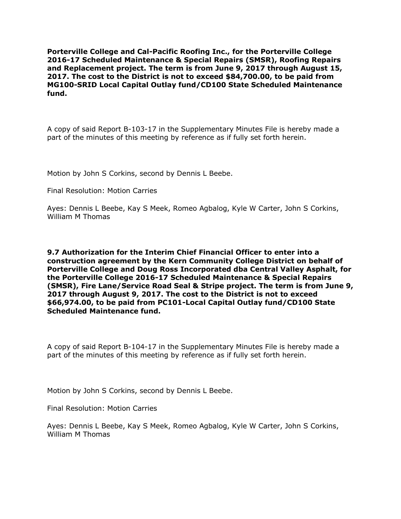**Porterville College and Cal-Pacific Roofing Inc., for the Porterville College 2016-17 Scheduled Maintenance & Special Repairs (SMSR), Roofing Repairs and Replacement project. The term is from June 9, 2017 through August 15, 2017. The cost to the District is not to exceed \$84,700.00, to be paid from MG100-SRID Local Capital Outlay fund/CD100 State Scheduled Maintenance fund.**

A copy of said Report B-103-17 in the Supplementary Minutes File is hereby made a part of the minutes of this meeting by reference as if fully set forth herein.

Motion by John S Corkins, second by Dennis L Beebe.

Final Resolution: Motion Carries

Ayes: Dennis L Beebe, Kay S Meek, Romeo Agbalog, Kyle W Carter, John S Corkins, William M Thomas

**9.7 Authorization for the Interim Chief Financial Officer to enter into a construction agreement by the Kern Community College District on behalf of Porterville College and Doug Ross Incorporated dba Central Valley Asphalt, for the Porterville College 2016-17 Scheduled Maintenance & Special Repairs (SMSR), Fire Lane/Service Road Seal & Stripe project. The term is from June 9, 2017 through August 9, 2017. The cost to the District is not to exceed \$66,974.00, to be paid from PC101-Local Capital Outlay fund/CD100 State Scheduled Maintenance fund.**

A copy of said Report B-104-17 in the Supplementary Minutes File is hereby made a part of the minutes of this meeting by reference as if fully set forth herein.

Motion by John S Corkins, second by Dennis L Beebe.

Final Resolution: Motion Carries

Ayes: Dennis L Beebe, Kay S Meek, Romeo Agbalog, Kyle W Carter, John S Corkins, William M Thomas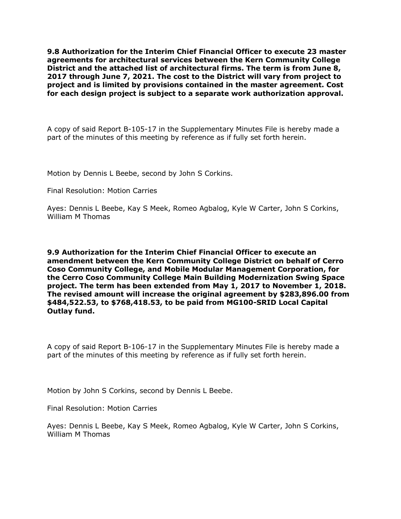**9.8 Authorization for the Interim Chief Financial Officer to execute 23 master agreements for architectural services between the Kern Community College District and the attached list of architectural firms. The term is from June 8, 2017 through June 7, 2021. The cost to the District will vary from project to project and is limited by provisions contained in the master agreement. Cost for each design project is subject to a separate work authorization approval.**

A copy of said Report B-105-17 in the Supplementary Minutes File is hereby made a part of the minutes of this meeting by reference as if fully set forth herein.

Motion by Dennis L Beebe, second by John S Corkins.

Final Resolution: Motion Carries

Ayes: Dennis L Beebe, Kay S Meek, Romeo Agbalog, Kyle W Carter, John S Corkins, William M Thomas

**9.9 Authorization for the Interim Chief Financial Officer to execute an amendment between the Kern Community College District on behalf of Cerro Coso Community College, and Mobile Modular Management Corporation, for the Cerro Coso Community College Main Building Modernization Swing Space project. The term has been extended from May 1, 2017 to November 1, 2018. The revised amount will increase the original agreement by \$283,896.00 from \$484,522.53, to \$768,418.53, to be paid from MG100-SRID Local Capital Outlay fund.**

A copy of said Report B-106-17 in the Supplementary Minutes File is hereby made a part of the minutes of this meeting by reference as if fully set forth herein.

Motion by John S Corkins, second by Dennis L Beebe.

Final Resolution: Motion Carries

Ayes: Dennis L Beebe, Kay S Meek, Romeo Agbalog, Kyle W Carter, John S Corkins, William M Thomas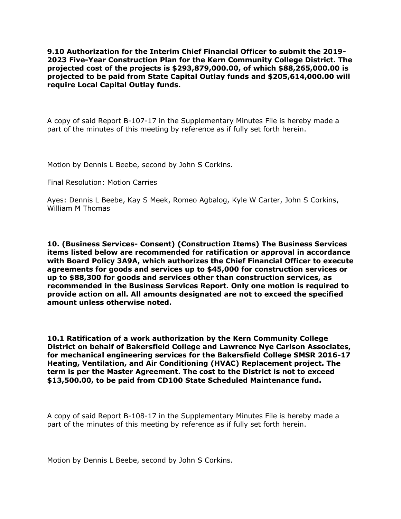**9.10 Authorization for the Interim Chief Financial Officer to submit the 2019- 2023 Five-Year Construction Plan for the Kern Community College District. The projected cost of the projects is \$293,879,000.00, of which \$88,265,000.00 is projected to be paid from State Capital Outlay funds and \$205,614,000.00 will require Local Capital Outlay funds.**

A copy of said Report B-107-17 in the Supplementary Minutes File is hereby made a part of the minutes of this meeting by reference as if fully set forth herein.

Motion by Dennis L Beebe, second by John S Corkins.

Final Resolution: Motion Carries

Ayes: Dennis L Beebe, Kay S Meek, Romeo Agbalog, Kyle W Carter, John S Corkins, William M Thomas

**10. (Business Services- Consent) (Construction Items) The Business Services items listed below are recommended for ratification or approval in accordance with Board Policy 3A9A, which authorizes the Chief Financial Officer to execute agreements for goods and services up to \$45,000 for construction services or up to \$88,300 for goods and services other than construction services, as recommended in the Business Services Report. Only one motion is required to provide action on all. All amounts designated are not to exceed the specified amount unless otherwise noted.**

**10.1 Ratification of a work authorization by the Kern Community College District on behalf of Bakersfield College and Lawrence Nye Carlson Associates, for mechanical engineering services for the Bakersfield College SMSR 2016-17 Heating, Ventilation, and Air Conditioning (HVAC) Replacement project. The term is per the Master Agreement. The cost to the District is not to exceed \$13,500.00, to be paid from CD100 State Scheduled Maintenance fund.**

A copy of said Report B-108-17 in the Supplementary Minutes File is hereby made a part of the minutes of this meeting by reference as if fully set forth herein.

Motion by Dennis L Beebe, second by John S Corkins.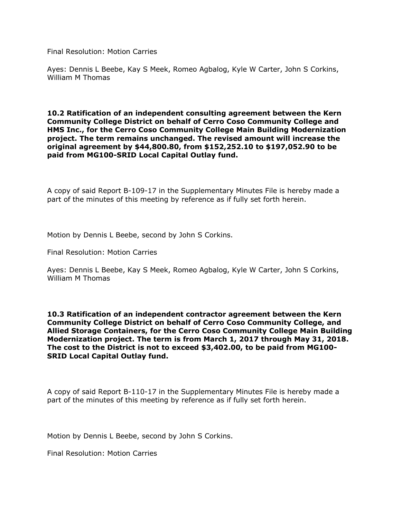Final Resolution: Motion Carries

Ayes: Dennis L Beebe, Kay S Meek, Romeo Agbalog, Kyle W Carter, John S Corkins, William M Thomas

**10.2 Ratification of an independent consulting agreement between the Kern Community College District on behalf of Cerro Coso Community College and HMS Inc., for the Cerro Coso Community College Main Building Modernization project. The term remains unchanged. The revised amount will increase the original agreement by \$44,800.80, from \$152,252.10 to \$197,052.90 to be paid from MG100-SRID Local Capital Outlay fund.**

A copy of said Report B-109-17 in the Supplementary Minutes File is hereby made a part of the minutes of this meeting by reference as if fully set forth herein.

Motion by Dennis L Beebe, second by John S Corkins.

Final Resolution: Motion Carries

Ayes: Dennis L Beebe, Kay S Meek, Romeo Agbalog, Kyle W Carter, John S Corkins, William M Thomas

**10.3 Ratification of an independent contractor agreement between the Kern Community College District on behalf of Cerro Coso Community College, and Allied Storage Containers, for the Cerro Coso Community College Main Building Modernization project. The term is from March 1, 2017 through May 31, 2018. The cost to the District is not to exceed \$3,402.00, to be paid from MG100- SRID Local Capital Outlay fund.**

A copy of said Report B-110-17 in the Supplementary Minutes File is hereby made a part of the minutes of this meeting by reference as if fully set forth herein.

Motion by Dennis L Beebe, second by John S Corkins.

Final Resolution: Motion Carries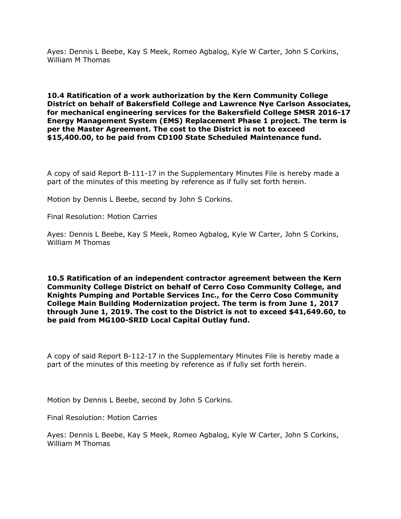Ayes: Dennis L Beebe, Kay S Meek, Romeo Agbalog, Kyle W Carter, John S Corkins, William M Thomas

**10.4 Ratification of a work authorization by the Kern Community College District on behalf of Bakersfield College and Lawrence Nye Carlson Associates, for mechanical engineering services for the Bakersfield College SMSR 2016-17 Energy Management System (EMS) Replacement Phase 1 project. The term is per the Master Agreement. The cost to the District is not to exceed \$15,400.00, to be paid from CD100 State Scheduled Maintenance fund.**

A copy of said Report B-111-17 in the Supplementary Minutes File is hereby made a part of the minutes of this meeting by reference as if fully set forth herein.

Motion by Dennis L Beebe, second by John S Corkins.

Final Resolution: Motion Carries

Ayes: Dennis L Beebe, Kay S Meek, Romeo Agbalog, Kyle W Carter, John S Corkins, William M Thomas

**10.5 Ratification of an independent contractor agreement between the Kern Community College District on behalf of Cerro Coso Community College, and Knights Pumping and Portable Services Inc., for the Cerro Coso Community College Main Building Modernization project. The term is from June 1, 2017 through June 1, 2019. The cost to the District is not to exceed \$41,649.60, to be paid from MG100-SRID Local Capital Outlay fund.**

A copy of said Report B-112-17 in the Supplementary Minutes File is hereby made a part of the minutes of this meeting by reference as if fully set forth herein.

Motion by Dennis L Beebe, second by John S Corkins.

Final Resolution: Motion Carries

Ayes: Dennis L Beebe, Kay S Meek, Romeo Agbalog, Kyle W Carter, John S Corkins, William M Thomas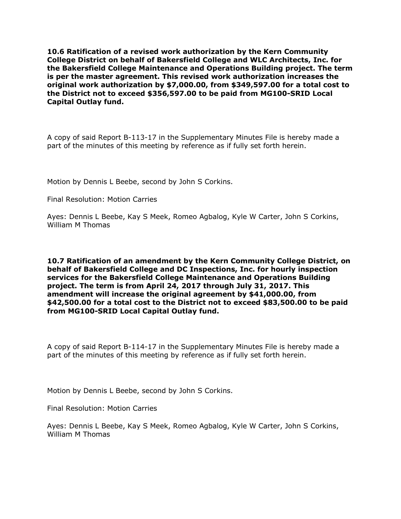**10.6 Ratification of a revised work authorization by the Kern Community College District on behalf of Bakersfield College and WLC Architects, Inc. for the Bakersfield College Maintenance and Operations Building project. The term is per the master agreement. This revised work authorization increases the original work authorization by \$7,000.00, from \$349,597.00 for a total cost to the District not to exceed \$356,597.00 to be paid from MG100-SRID Local Capital Outlay fund.**

A copy of said Report B-113-17 in the Supplementary Minutes File is hereby made a part of the minutes of this meeting by reference as if fully set forth herein.

Motion by Dennis L Beebe, second by John S Corkins.

Final Resolution: Motion Carries

Ayes: Dennis L Beebe, Kay S Meek, Romeo Agbalog, Kyle W Carter, John S Corkins, William M Thomas

**10.7 Ratification of an amendment by the Kern Community College District, on behalf of Bakersfield College and DC Inspections, Inc. for hourly inspection services for the Bakersfield College Maintenance and Operations Building project. The term is from April 24, 2017 through July 31, 2017. This amendment will increase the original agreement by \$41,000.00, from \$42,500.00 for a total cost to the District not to exceed \$83,500.00 to be paid from MG100-SRID Local Capital Outlay fund.**

A copy of said Report B-114-17 in the Supplementary Minutes File is hereby made a part of the minutes of this meeting by reference as if fully set forth herein.

Motion by Dennis L Beebe, second by John S Corkins.

Final Resolution: Motion Carries

Ayes: Dennis L Beebe, Kay S Meek, Romeo Agbalog, Kyle W Carter, John S Corkins, William M Thomas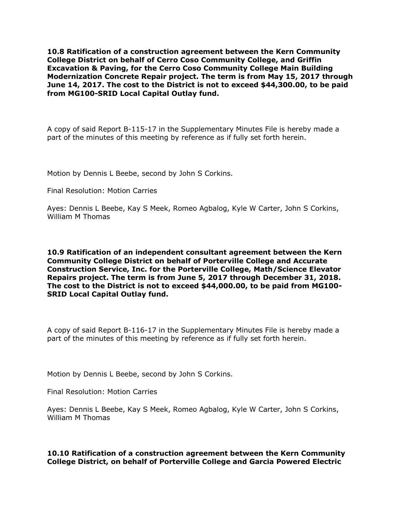**10.8 Ratification of a construction agreement between the Kern Community College District on behalf of Cerro Coso Community College, and Griffin Excavation & Paving, for the Cerro Coso Community College Main Building Modernization Concrete Repair project. The term is from May 15, 2017 through June 14, 2017. The cost to the District is not to exceed \$44,300.00, to be paid from MG100-SRID Local Capital Outlay fund.**

A copy of said Report B-115-17 in the Supplementary Minutes File is hereby made a part of the minutes of this meeting by reference as if fully set forth herein.

Motion by Dennis L Beebe, second by John S Corkins.

Final Resolution: Motion Carries

Ayes: Dennis L Beebe, Kay S Meek, Romeo Agbalog, Kyle W Carter, John S Corkins, William M Thomas

**10.9 Ratification of an independent consultant agreement between the Kern Community College District on behalf of Porterville College and Accurate Construction Service, Inc. for the Porterville College, Math/Science Elevator Repairs project. The term is from June 5, 2017 through December 31, 2018. The cost to the District is not to exceed \$44,000.00, to be paid from MG100- SRID Local Capital Outlay fund.**

A copy of said Report B-116-17 in the Supplementary Minutes File is hereby made a part of the minutes of this meeting by reference as if fully set forth herein.

Motion by Dennis L Beebe, second by John S Corkins.

Final Resolution: Motion Carries

Ayes: Dennis L Beebe, Kay S Meek, Romeo Agbalog, Kyle W Carter, John S Corkins, William M Thomas

**10.10 Ratification of a construction agreement between the Kern Community College District, on behalf of Porterville College and Garcia Powered Electric**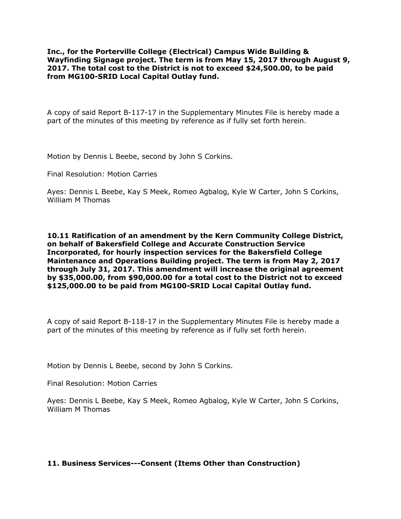**Inc., for the Porterville College (Electrical) Campus Wide Building & Wayfinding Signage project. The term is from May 15, 2017 through August 9, 2017. The total cost to the District is not to exceed \$24,500.00, to be paid from MG100-SRID Local Capital Outlay fund.**

A copy of said Report B-117-17 in the Supplementary Minutes File is hereby made a part of the minutes of this meeting by reference as if fully set forth herein.

Motion by Dennis L Beebe, second by John S Corkins.

Final Resolution: Motion Carries

Ayes: Dennis L Beebe, Kay S Meek, Romeo Agbalog, Kyle W Carter, John S Corkins, William M Thomas

**10.11 Ratification of an amendment by the Kern Community College District, on behalf of Bakersfield College and Accurate Construction Service Incorporated, for hourly inspection services for the Bakersfield College Maintenance and Operations Building project. The term is from May 2, 2017 through July 31, 2017. This amendment will increase the original agreement by \$35,000.00, from \$90,000.00 for a total cost to the District not to exceed \$125,000.00 to be paid from MG100-SRID Local Capital Outlay fund.**

A copy of said Report B-118-17 in the Supplementary Minutes File is hereby made a part of the minutes of this meeting by reference as if fully set forth herein.

Motion by Dennis L Beebe, second by John S Corkins.

Final Resolution: Motion Carries

Ayes: Dennis L Beebe, Kay S Meek, Romeo Agbalog, Kyle W Carter, John S Corkins, William M Thomas

## **11. Business Services---Consent (Items Other than Construction)**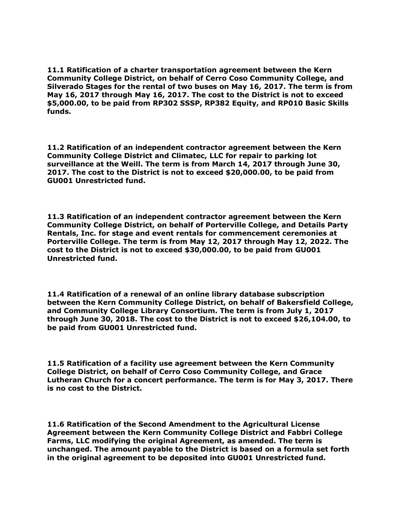**11.1 Ratification of a charter transportation agreement between the Kern Community College District, on behalf of Cerro Coso Community College, and Silverado Stages for the rental of two buses on May 16, 2017. The term is from May 16, 2017 through May 16, 2017. The cost to the District is not to exceed \$5,000.00, to be paid from RP302 SSSP, RP382 Equity, and RP010 Basic Skills funds.**

**11.2 Ratification of an independent contractor agreement between the Kern Community College District and Climatec, LLC for repair to parking lot surveillance at the Weill. The term is from March 14, 2017 through June 30, 2017. The cost to the District is not to exceed \$20,000.00, to be paid from GU001 Unrestricted fund.**

**11.3 Ratification of an independent contractor agreement between the Kern Community College District, on behalf of Porterville College, and Details Party Rentals, Inc. for stage and event rentals for commencement ceremonies at Porterville College. The term is from May 12, 2017 through May 12, 2022. The cost to the District is not to exceed \$30,000.00, to be paid from GU001 Unrestricted fund.**

**11.4 Ratification of a renewal of an online library database subscription between the Kern Community College District, on behalf of Bakersfield College, and Community College Library Consortium. The term is from July 1, 2017 through June 30, 2018. The cost to the District is not to exceed \$26,104.00, to be paid from GU001 Unrestricted fund.**

**11.5 Ratification of a facility use agreement between the Kern Community College District, on behalf of Cerro Coso Community College, and Grace Lutheran Church for a concert performance. The term is for May 3, 2017. There is no cost to the District.**

**11.6 Ratification of the Second Amendment to the Agricultural License Agreement between the Kern Community College District and Fabbri College Farms, LLC modifying the original Agreement, as amended. The term is unchanged. The amount payable to the District is based on a formula set forth in the original agreement to be deposited into GU001 Unrestricted fund.**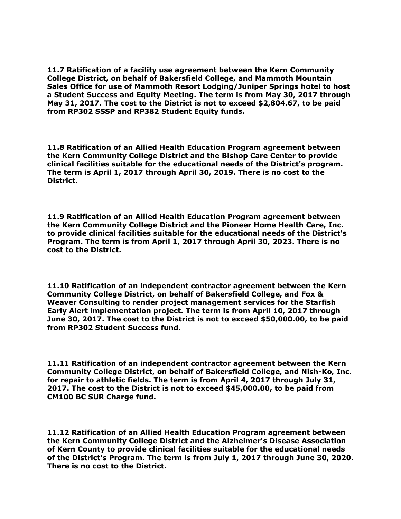**11.7 Ratification of a facility use agreement between the Kern Community College District, on behalf of Bakersfield College, and Mammoth Mountain Sales Office for use of Mammoth Resort Lodging/Juniper Springs hotel to host a Student Success and Equity Meeting. The term is from May 30, 2017 through May 31, 2017. The cost to the District is not to exceed \$2,804.67, to be paid from RP302 SSSP and RP382 Student Equity funds.**

**11.8 Ratification of an Allied Health Education Program agreement between the Kern Community College District and the Bishop Care Center to provide clinical facilities suitable for the educational needs of the District's program. The term is April 1, 2017 through April 30, 2019. There is no cost to the District.**

**11.9 Ratification of an Allied Health Education Program agreement between the Kern Community College District and the Pioneer Home Health Care, Inc. to provide clinical facilities suitable for the educational needs of the District's Program. The term is from April 1, 2017 through April 30, 2023. There is no cost to the District.**

**11.10 Ratification of an independent contractor agreement between the Kern Community College District, on behalf of Bakersfield College, and Fox & Weaver Consulting to render project management services for the Starfish Early Alert implementation project. The term is from April 10, 2017 through June 30, 2017. The cost to the District is not to exceed \$50,000.00, to be paid from RP302 Student Success fund.**

**11.11 Ratification of an independent contractor agreement between the Kern Community College District, on behalf of Bakersfield College, and Nish-Ko, Inc. for repair to athletic fields. The term is from April 4, 2017 through July 31, 2017. The cost to the District is not to exceed \$45,000.00, to be paid from CM100 BC SUR Charge fund.**

**11.12 Ratification of an Allied Health Education Program agreement between the Kern Community College District and the Alzheimer's Disease Association of Kern County to provide clinical facilities suitable for the educational needs of the District's Program. The term is from July 1, 2017 through June 30, 2020. There is no cost to the District.**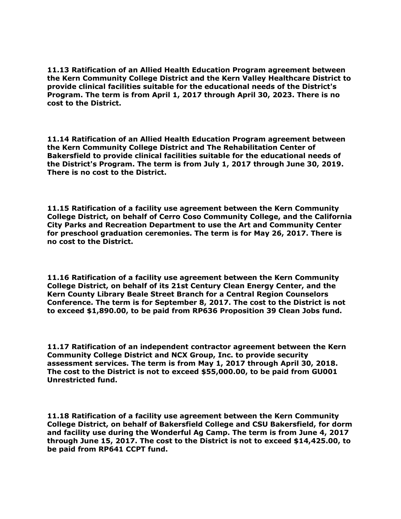**11.13 Ratification of an Allied Health Education Program agreement between the Kern Community College District and the Kern Valley Healthcare District to provide clinical facilities suitable for the educational needs of the District's Program. The term is from April 1, 2017 through April 30, 2023. There is no cost to the District.**

**11.14 Ratification of an Allied Health Education Program agreement between the Kern Community College District and The Rehabilitation Center of Bakersfield to provide clinical facilities suitable for the educational needs of the District's Program. The term is from July 1, 2017 through June 30, 2019. There is no cost to the District.**

**11.15 Ratification of a facility use agreement between the Kern Community College District, on behalf of Cerro Coso Community College, and the California City Parks and Recreation Department to use the Art and Community Center for preschool graduation ceremonies. The term is for May 26, 2017. There is no cost to the District.**

**11.16 Ratification of a facility use agreement between the Kern Community College District, on behalf of its 21st Century Clean Energy Center, and the Kern County Library Beale Street Branch for a Central Region Counselors Conference. The term is for September 8, 2017. The cost to the District is not to exceed \$1,890.00, to be paid from RP636 Proposition 39 Clean Jobs fund.**

**11.17 Ratification of an independent contractor agreement between the Kern Community College District and NCX Group, Inc. to provide security assessment services. The term is from May 1, 2017 through April 30, 2018. The cost to the District is not to exceed \$55,000.00, to be paid from GU001 Unrestricted fund.**

**11.18 Ratification of a facility use agreement between the Kern Community College District, on behalf of Bakersfield College and CSU Bakersfield, for dorm and facility use during the Wonderful Ag Camp. The term is from June 4, 2017 through June 15, 2017. The cost to the District is not to exceed \$14,425.00, to be paid from RP641 CCPT fund.**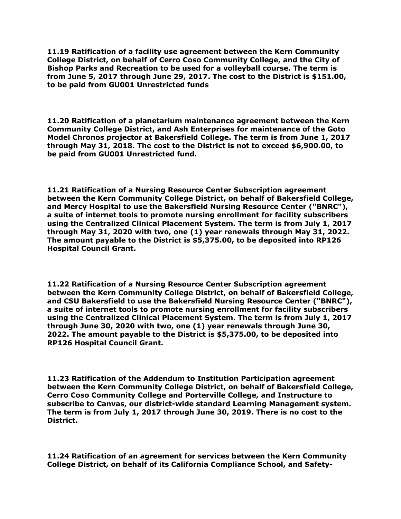**11.19 Ratification of a facility use agreement between the Kern Community College District, on behalf of Cerro Coso Community College, and the City of Bishop Parks and Recreation to be used for a volleyball course. The term is from June 5, 2017 through June 29, 2017. The cost to the District is \$151.00, to be paid from GU001 Unrestricted funds**

**11.20 Ratification of a planetarium maintenance agreement between the Kern Community College District, and Ash Enterprises for maintenance of the Goto Model Chronos projector at Bakersfield College. The term is from June 1, 2017 through May 31, 2018. The cost to the District is not to exceed \$6,900.00, to be paid from GU001 Unrestricted fund.**

**11.21 Ratification of a Nursing Resource Center Subscription agreement between the Kern Community College District, on behalf of Bakersfield College, and Mercy Hospital to use the Bakersfield Nursing Resource Center ("BNRC"), a suite of internet tools to promote nursing enrollment for facility subscribers using the Centralized Clinical Placement System. The term is from July 1, 2017 through May 31, 2020 with two, one (1) year renewals through May 31, 2022. The amount payable to the District is \$5,375.00, to be deposited into RP126 Hospital Council Grant.**

**11.22 Ratification of a Nursing Resource Center Subscription agreement between the Kern Community College District, on behalf of Bakersfield College, and CSU Bakersfield to use the Bakersfield Nursing Resource Center ("BNRC"), a suite of internet tools to promote nursing enrollment for facility subscribers using the Centralized Clinical Placement System. The term is from July 1, 2017 through June 30, 2020 with two, one (1) year renewals through June 30, 2022. The amount payable to the District is \$5,375.00, to be deposited into RP126 Hospital Council Grant.**

**11.23 Ratification of the Addendum to Institution Participation agreement between the Kern Community College District, on behalf of Bakersfield College, Cerro Coso Community College and Porterville College, and Instructure to subscribe to Canvas, our district-wide standard Learning Management system. The term is from July 1, 2017 through June 30, 2019. There is no cost to the District.**

**11.24 Ratification of an agreement for services between the Kern Community College District, on behalf of its California Compliance School, and Safety-**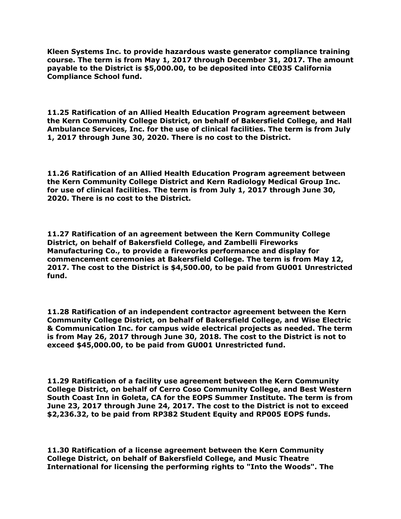**Kleen Systems Inc. to provide hazardous waste generator compliance training course. The term is from May 1, 2017 through December 31, 2017. The amount payable to the District is \$5,000.00, to be deposited into CE035 California Compliance School fund.**

**11.25 Ratification of an Allied Health Education Program agreement between the Kern Community College District, on behalf of Bakersfield College, and Hall Ambulance Services, Inc. for the use of clinical facilities. The term is from July 1, 2017 through June 30, 2020. There is no cost to the District.**

**11.26 Ratification of an Allied Health Education Program agreement between the Kern Community College District and Kern Radiology Medical Group Inc. for use of clinical facilities. The term is from July 1, 2017 through June 30, 2020. There is no cost to the District.**

**11.27 Ratification of an agreement between the Kern Community College District, on behalf of Bakersfield College, and Zambelli Fireworks Manufacturing Co., to provide a fireworks performance and display for commencement ceremonies at Bakersfield College. The term is from May 12, 2017. The cost to the District is \$4,500.00, to be paid from GU001 Unrestricted fund.**

**11.28 Ratification of an independent contractor agreement between the Kern Community College District, on behalf of Bakersfield College, and Wise Electric & Communication Inc. for campus wide electrical projects as needed. The term is from May 26, 2017 through June 30, 2018. The cost to the District is not to exceed \$45,000.00, to be paid from GU001 Unrestricted fund.**

**11.29 Ratification of a facility use agreement between the Kern Community College District, on behalf of Cerro Coso Community College, and Best Western South Coast Inn in Goleta, CA for the EOPS Summer Institute. The term is from June 23, 2017 through June 24, 2017. The cost to the District is not to exceed \$2,236.32, to be paid from RP382 Student Equity and RP005 EOPS funds.**

**11.30 Ratification of a license agreement between the Kern Community College District, on behalf of Bakersfield College, and Music Theatre International for licensing the performing rights to "Into the Woods". The**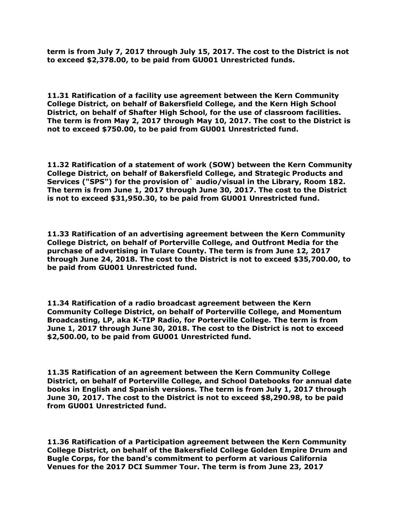**term is from July 7, 2017 through July 15, 2017. The cost to the District is not to exceed \$2,378.00, to be paid from GU001 Unrestricted funds.**

**11.31 Ratification of a facility use agreement between the Kern Community College District, on behalf of Bakersfield College, and the Kern High School District, on behalf of Shafter High School, for the use of classroom facilities. The term is from May 2, 2017 through May 10, 2017. The cost to the District is not to exceed \$750.00, to be paid from GU001 Unrestricted fund.**

**11.32 Ratification of a statement of work (SOW) between the Kern Community College District, on behalf of Bakersfield College, and Strategic Products and Services ("SPS") for the provision of` audio/visual in the Library, Room 182. The term is from June 1, 2017 through June 30, 2017. The cost to the District is not to exceed \$31,950.30, to be paid from GU001 Unrestricted fund.**

**11.33 Ratification of an advertising agreement between the Kern Community College District, on behalf of Porterville College, and Outfront Media for the purchase of advertising in Tulare County. The term is from June 12, 2017 through June 24, 2018. The cost to the District is not to exceed \$35,700.00, to be paid from GU001 Unrestricted fund.**

**11.34 Ratification of a radio broadcast agreement between the Kern Community College District, on behalf of Porterville College, and Momentum Broadcasting, LP, aka K-TIP Radio, for Porterville College. The term is from June 1, 2017 through June 30, 2018. The cost to the District is not to exceed \$2,500.00, to be paid from GU001 Unrestricted fund.**

**11.35 Ratification of an agreement between the Kern Community College District, on behalf of Porterville College, and School Datebooks for annual date books in English and Spanish versions. The term is from July 1, 2017 through June 30, 2017. The cost to the District is not to exceed \$8,290.98, to be paid from GU001 Unrestricted fund.**

**11.36 Ratification of a Participation agreement between the Kern Community College District, on behalf of the Bakersfield College Golden Empire Drum and Bugle Corps, for the band's commitment to perform at various California Venues for the 2017 DCI Summer Tour. The term is from June 23, 2017**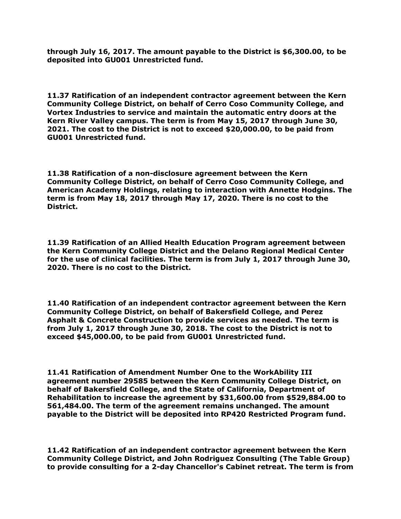**through July 16, 2017. The amount payable to the District is \$6,300.00, to be deposited into GU001 Unrestricted fund.**

**11.37 Ratification of an independent contractor agreement between the Kern Community College District, on behalf of Cerro Coso Community College, and Vortex Industries to service and maintain the automatic entry doors at the Kern River Valley campus. The term is from May 15, 2017 through June 30, 2021. The cost to the District is not to exceed \$20,000.00, to be paid from GU001 Unrestricted fund.**

**11.38 Ratification of a non-disclosure agreement between the Kern Community College District, on behalf of Cerro Coso Community College, and American Academy Holdings, relating to interaction with Annette Hodgins. The term is from May 18, 2017 through May 17, 2020. There is no cost to the District.**

**11.39 Ratification of an Allied Health Education Program agreement between the Kern Community College District and the Delano Regional Medical Center for the use of clinical facilities. The term is from July 1, 2017 through June 30, 2020. There is no cost to the District.**

**11.40 Ratification of an independent contractor agreement between the Kern Community College District, on behalf of Bakersfield College, and Perez Asphalt & Concrete Construction to provide services as needed. The term is from July 1, 2017 through June 30, 2018. The cost to the District is not to exceed \$45,000.00, to be paid from GU001 Unrestricted fund.**

**11.41 Ratification of Amendment Number One to the WorkAbility III agreement number 29585 between the Kern Community College District, on behalf of Bakersfield College, and the State of California, Department of Rehabilitation to increase the agreement by \$31,600.00 from \$529,884.00 to 561,484.00. The term of the agreement remains unchanged. The amount payable to the District will be deposited into RP420 Restricted Program fund.**

**11.42 Ratification of an independent contractor agreement between the Kern Community College District, and John Rodriguez Consulting (The Table Group) to provide consulting for a 2-day Chancellor's Cabinet retreat. The term is from**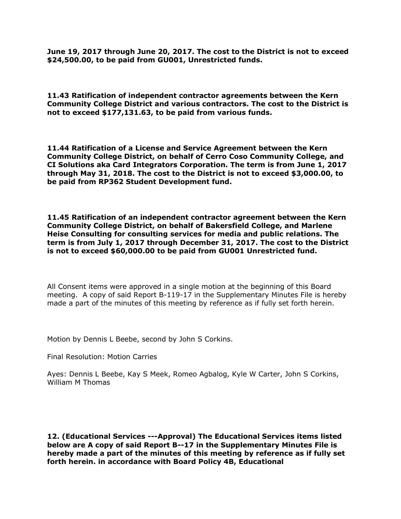**June 19, 2017 through June 20, 2017. The cost to the District is not to exceed \$24,500.00, to be paid from GU001, Unrestricted funds.**

**11.43 Ratification of independent contractor agreements between the Kern Community College District and various contractors. The cost to the District is not to exceed \$177,131.63, to be paid from various funds.**

**11.44 Ratification of a License and Service Agreement between the Kern Community College District, on behalf of Cerro Coso Community College, and CI Solutions aka Card Integrators Corporation. The term is from June 1, 2017 through May 31, 2018. The cost to the District is not to exceed \$3,000.00, to be paid from RP362 Student Development fund.**

**11.45 Ratification of an independent contractor agreement between the Kern Community College District, on behalf of Bakersfield College, and Marlene Heise Consulting for consulting services for media and public relations. The term is from July 1, 2017 through December 31, 2017. The cost to the District is not to exceed \$60,000.00 to be paid from GU001 Unrestricted fund.**

All Consent items were approved in a single motion at the beginning of this Board meeting. A copy of said Report B-119-17 in the Supplementary Minutes File is hereby made a part of the minutes of this meeting by reference as if fully set forth herein.

Motion by Dennis L Beebe, second by John S Corkins.

Final Resolution: Motion Carries

Ayes: Dennis L Beebe, Kay S Meek, Romeo Agbalog, Kyle W Carter, John S Corkins, William M Thomas

**12. (Educational Services ---Approval) The Educational Services items listed below are A copy of said Report B--17 in the Supplementary Minutes File is hereby made a part of the minutes of this meeting by reference as if fully set forth herein. in accordance with Board Policy 4B, Educational**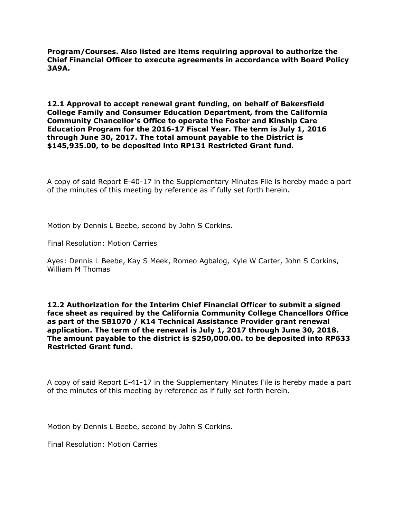**Program/Courses. Also listed are items requiring approval to authorize the Chief Financial Officer to execute agreements in accordance with Board Policy 3A9A.**

**12.1 Approval to accept renewal grant funding, on behalf of Bakersfield College Family and Consumer Education Department, from the California Community Chancellor's Office to operate the Foster and Kinship Care Education Program for the 2016-17 Fiscal Year. The term is July 1, 2016 through June 30, 2017. The total amount payable to the District is \$145,935.00, to be deposited into RP131 Restricted Grant fund.**

A copy of said Report E-40-17 in the Supplementary Minutes File is hereby made a part of the minutes of this meeting by reference as if fully set forth herein.

Motion by Dennis L Beebe, second by John S Corkins.

Final Resolution: Motion Carries

Ayes: Dennis L Beebe, Kay S Meek, Romeo Agbalog, Kyle W Carter, John S Corkins, William M Thomas

**12.2 Authorization for the Interim Chief Financial Officer to submit a signed face sheet as required by the California Community College Chancellors Office as part of the SB1070 / K14 Technical Assistance Provider grant renewal application. The term of the renewal is July 1, 2017 through June 30, 2018. The amount payable to the district is \$250,000.00. to be deposited into RP633 Restricted Grant fund.**

A copy of said Report E-41-17 in the Supplementary Minutes File is hereby made a part of the minutes of this meeting by reference as if fully set forth herein.

Motion by Dennis L Beebe, second by John S Corkins.

Final Resolution: Motion Carries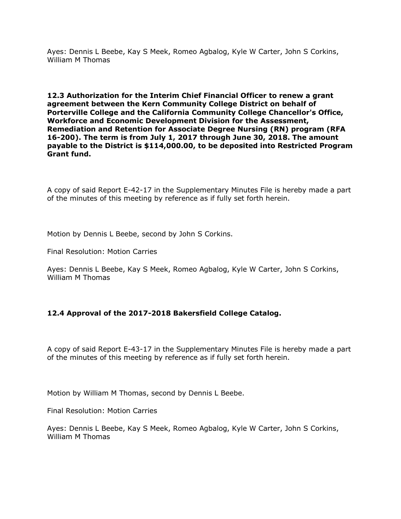Ayes: Dennis L Beebe, Kay S Meek, Romeo Agbalog, Kyle W Carter, John S Corkins, William M Thomas

**12.3 Authorization for the Interim Chief Financial Officer to renew a grant agreement between the Kern Community College District on behalf of Porterville College and the California Community College Chancellor's Office, Workforce and Economic Development Division for the Assessment, Remediation and Retention for Associate Degree Nursing (RN) program (RFA 16-200). The term is from July 1, 2017 through June 30, 2018. The amount payable to the District is \$114,000.00, to be deposited into Restricted Program Grant fund.**

A copy of said Report E-42-17 in the Supplementary Minutes File is hereby made a part of the minutes of this meeting by reference as if fully set forth herein.

Motion by Dennis L Beebe, second by John S Corkins.

Final Resolution: Motion Carries

Ayes: Dennis L Beebe, Kay S Meek, Romeo Agbalog, Kyle W Carter, John S Corkins, William M Thomas

# **12.4 Approval of the 2017-2018 Bakersfield College Catalog.**

A copy of said Report E-43-17 in the Supplementary Minutes File is hereby made a part of the minutes of this meeting by reference as if fully set forth herein.

Motion by William M Thomas, second by Dennis L Beebe.

Final Resolution: Motion Carries

Ayes: Dennis L Beebe, Kay S Meek, Romeo Agbalog, Kyle W Carter, John S Corkins, William M Thomas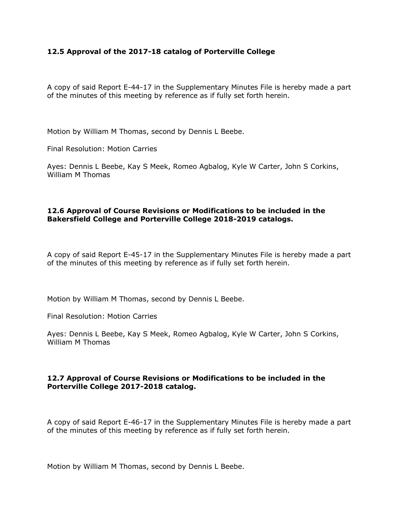## **12.5 Approval of the 2017-18 catalog of Porterville College**

A copy of said Report E-44-17 in the Supplementary Minutes File is hereby made a part of the minutes of this meeting by reference as if fully set forth herein.

Motion by William M Thomas, second by Dennis L Beebe.

Final Resolution: Motion Carries

Ayes: Dennis L Beebe, Kay S Meek, Romeo Agbalog, Kyle W Carter, John S Corkins, William M Thomas

## **12.6 Approval of Course Revisions or Modifications to be included in the Bakersfield College and Porterville College 2018-2019 catalogs.**

A copy of said Report E-45-17 in the Supplementary Minutes File is hereby made a part of the minutes of this meeting by reference as if fully set forth herein.

Motion by William M Thomas, second by Dennis L Beebe.

Final Resolution: Motion Carries

Ayes: Dennis L Beebe, Kay S Meek, Romeo Agbalog, Kyle W Carter, John S Corkins, William M Thomas

## **12.7 Approval of Course Revisions or Modifications to be included in the Porterville College 2017-2018 catalog.**

A copy of said Report E-46-17 in the Supplementary Minutes File is hereby made a part of the minutes of this meeting by reference as if fully set forth herein.

Motion by William M Thomas, second by Dennis L Beebe.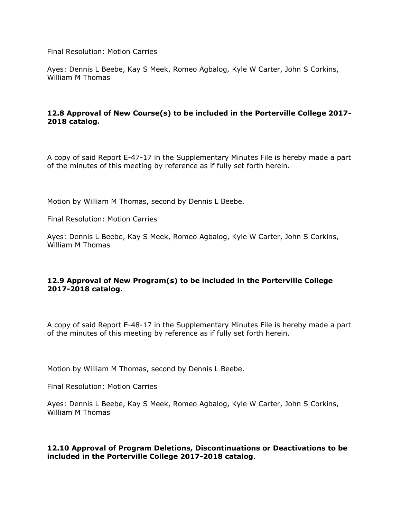Final Resolution: Motion Carries

Ayes: Dennis L Beebe, Kay S Meek, Romeo Agbalog, Kyle W Carter, John S Corkins, William M Thomas

# **12.8 Approval of New Course(s) to be included in the Porterville College 2017- 2018 catalog.**

A copy of said Report E-47-17 in the Supplementary Minutes File is hereby made a part of the minutes of this meeting by reference as if fully set forth herein.

Motion by William M Thomas, second by Dennis L Beebe.

Final Resolution: Motion Carries

Ayes: Dennis L Beebe, Kay S Meek, Romeo Agbalog, Kyle W Carter, John S Corkins, William M Thomas

# **12.9 Approval of New Program(s) to be included in the Porterville College 2017-2018 catalog.**

A copy of said Report E-48-17 in the Supplementary Minutes File is hereby made a part of the minutes of this meeting by reference as if fully set forth herein.

Motion by William M Thomas, second by Dennis L Beebe.

Final Resolution: Motion Carries

Ayes: Dennis L Beebe, Kay S Meek, Romeo Agbalog, Kyle W Carter, John S Corkins, William M Thomas

#### **12.10 Approval of Program Deletions, Discontinuations or Deactivations to be included in the Porterville College 2017-2018 catalog**.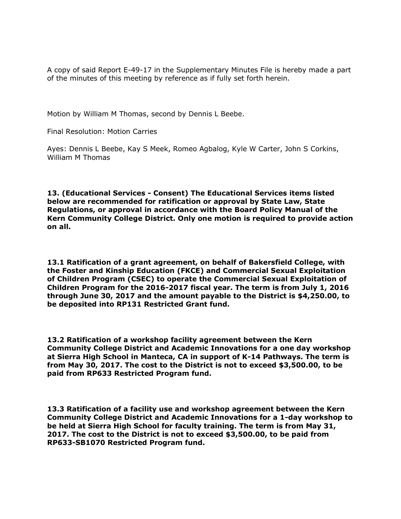A copy of said Report E-49-17 in the Supplementary Minutes File is hereby made a part of the minutes of this meeting by reference as if fully set forth herein.

Motion by William M Thomas, second by Dennis L Beebe.

Final Resolution: Motion Carries

Ayes: Dennis L Beebe, Kay S Meek, Romeo Agbalog, Kyle W Carter, John S Corkins, William M Thomas

**13. (Educational Services - Consent) The Educational Services items listed below are recommended for ratification or approval by State Law, State Regulations, or approval in accordance with the Board Policy Manual of the Kern Community College District. Only one motion is required to provide action on all.**

**13.1 Ratification of a grant agreement, on behalf of Bakersfield College, with the Foster and Kinship Education (FKCE) and Commercial Sexual Exploitation of Children Program (CSEC) to operate the Commercial Sexual Exploitation of Children Program for the 2016-2017 fiscal year. The term is from July 1, 2016 through June 30, 2017 and the amount payable to the District is \$4,250.00, to be deposited into RP131 Restricted Grant fund.**

**13.2 Ratification of a workshop facility agreement between the Kern Community College District and Academic Innovations for a one day workshop at Sierra High School in Manteca, CA in support of K-14 Pathways. The term is from May 30, 2017. The cost to the District is not to exceed \$3,500.00, to be paid from RP633 Restricted Program fund.**

**13.3 Ratification of a facility use and workshop agreement between the Kern Community College District and Academic Innovations for a 1-day workshop to be held at Sierra High School for faculty training. The term is from May 31, 2017. The cost to the District is not to exceed \$3,500.00, to be paid from RP633-SB1070 Restricted Program fund.**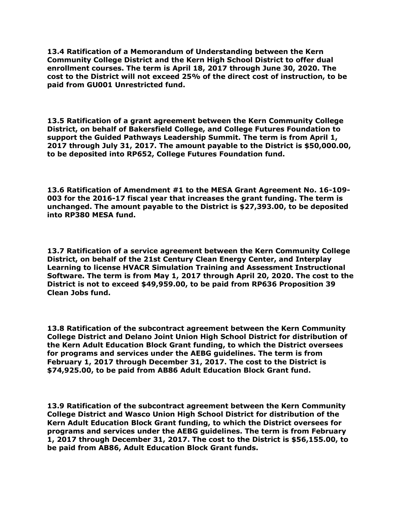**13.4 Ratification of a Memorandum of Understanding between the Kern Community College District and the Kern High School District to offer dual enrollment courses. The term is April 18, 2017 through June 30, 2020. The cost to the District will not exceed 25% of the direct cost of instruction, to be paid from GU001 Unrestricted fund.**

**13.5 Ratification of a grant agreement between the Kern Community College District, on behalf of Bakersfield College, and College Futures Foundation to support the Guided Pathways Leadership Summit. The term is from April 1, 2017 through July 31, 2017. The amount payable to the District is \$50,000.00, to be deposited into RP652, College Futures Foundation fund.**

**13.6 Ratification of Amendment #1 to the MESA Grant Agreement No. 16-109- 003 for the 2016-17 fiscal year that increases the grant funding. The term is unchanged. The amount payable to the District is \$27,393.00, to be deposited into RP380 MESA fund.**

**13.7 Ratification of a service agreement between the Kern Community College District, on behalf of the 21st Century Clean Energy Center, and Interplay Learning to license HVACR Simulation Training and Assessment Instructional Software. The term is from May 1, 2017 through April 20, 2020. The cost to the District is not to exceed \$49,959.00, to be paid from RP636 Proposition 39 Clean Jobs fund.**

**13.8 Ratification of the subcontract agreement between the Kern Community College District and Delano Joint Union High School District for distribution of the Kern Adult Education Block Grant funding, to which the District oversees for programs and services under the AEBG guidelines. The term is from February 1, 2017 through December 31, 2017. The cost to the District is \$74,925.00, to be paid from AB86 Adult Education Block Grant fund.**

**13.9 Ratification of the subcontract agreement between the Kern Community College District and Wasco Union High School District for distribution of the Kern Adult Education Block Grant funding, to which the District oversees for programs and services under the AEBG guidelines. The term is from February 1, 2017 through December 31, 2017. The cost to the District is \$56,155.00, to be paid from AB86, Adult Education Block Grant funds.**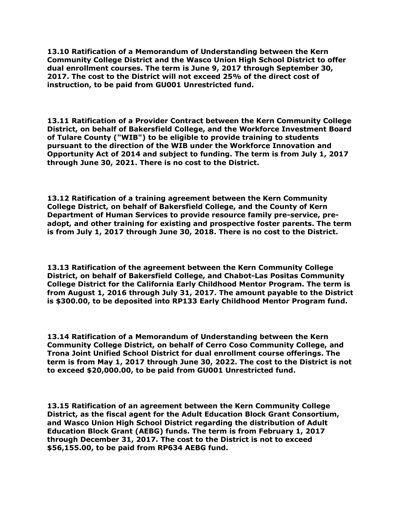**13.10 Ratification of a Memorandum of Understanding between the Kern Community College District and the Wasco Union High School District to offer dual enrollment courses. The term is June 9, 2017 through September 30, 2017. The cost to the District will not exceed 25% of the direct cost of instruction, to be paid from GU001 Unrestricted fund.**

**13.11 Ratification of a Provider Contract between the Kern Community College District, on behalf of Bakersfield College, and the Workforce Investment Board of Tulare County ("WIB") to be eligible to provide training to students pursuant to the direction of the WIB under the Workforce Innovation and Opportunity Act of 2014 and subject to funding. The term is from July 1, 2017 through June 30, 2021. There is no cost to the District.**

**13.12 Ratification of a training agreement between the Kern Community College District, on behalf of Bakersfield College, and the County of Kern Department of Human Services to provide resource family pre-service, preadopt, and other training for existing and prospective foster parents. The term is from July 1, 2017 through June 30, 2018. There is no cost to the District.**

**13.13 Ratification of the agreement between the Kern Community College District, on behalf of Bakersfield College, and Chabot-Las Positas Community College District for the California Early Childhood Mentor Program. The term is from August 1, 2016 through July 31, 2017. The amount payable to the District is \$300.00, to be deposited into RP133 Early Childhood Mentor Program fund.**

**13.14 Ratification of a Memorandum of Understanding between the Kern Community College District, on behalf of Cerro Coso Community College, and Trona Joint Unified School District for dual enrollment course offerings. The term is from May 1, 2017 through June 30, 2022. The cost to the District is not to exceed \$20,000.00, to be paid from GU001 Unrestricted fund.**

**13.15 Ratification of an agreement between the Kern Community College District, as the fiscal agent for the Adult Education Block Grant Consortium, and Wasco Union High School District regarding the distribution of Adult Education Block Grant (AEBG) funds. The term is from February 1, 2017 through December 31, 2017. The cost to the District is not to exceed \$56,155.00, to be paid from RP634 AEBG fund.**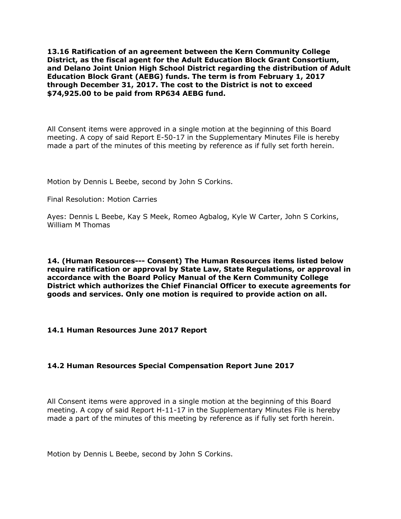**13.16 Ratification of an agreement between the Kern Community College District, as the fiscal agent for the Adult Education Block Grant Consortium, and Delano Joint Union High School District regarding the distribution of Adult Education Block Grant (AEBG) funds. The term is from February 1, 2017 through December 31, 2017. The cost to the District is not to exceed \$74,925.00 to be paid from RP634 AEBG fund.**

All Consent items were approved in a single motion at the beginning of this Board meeting. A copy of said Report E-50-17 in the Supplementary Minutes File is hereby made a part of the minutes of this meeting by reference as if fully set forth herein.

Motion by Dennis L Beebe, second by John S Corkins.

Final Resolution: Motion Carries

Ayes: Dennis L Beebe, Kay S Meek, Romeo Agbalog, Kyle W Carter, John S Corkins, William M Thomas

**14. (Human Resources--- Consent) The Human Resources items listed below require ratification or approval by State Law, State Regulations, or approval in accordance with the Board Policy Manual of the Kern Community College District which authorizes the Chief Financial Officer to execute agreements for goods and services. Only one motion is required to provide action on all.**

## **14.1 Human Resources June 2017 Report**

## **14.2 Human Resources Special Compensation Report June 2017**

All Consent items were approved in a single motion at the beginning of this Board meeting. A copy of said Report H-11-17 in the Supplementary Minutes File is hereby made a part of the minutes of this meeting by reference as if fully set forth herein.

Motion by Dennis L Beebe, second by John S Corkins.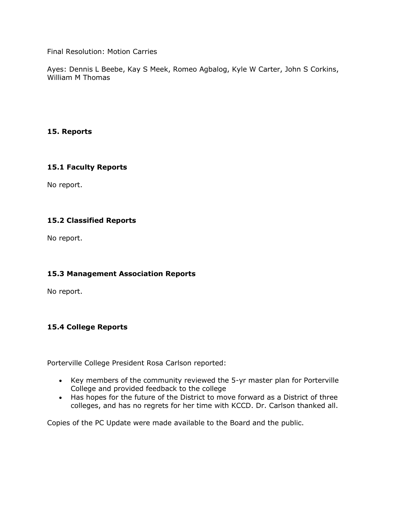Final Resolution: Motion Carries

Ayes: Dennis L Beebe, Kay S Meek, Romeo Agbalog, Kyle W Carter, John S Corkins, William M Thomas

# **15. Reports**

## **15.1 Faculty Reports**

No report.

# **15.2 Classified Reports**

No report.

## **15.3 Management Association Reports**

No report.

## **15.4 College Reports**

Porterville College President Rosa Carlson reported:

- Key members of the community reviewed the 5-yr master plan for Porterville College and provided feedback to the college
- Has hopes for the future of the District to move forward as a District of three colleges, and has no regrets for her time with KCCD. Dr. Carlson thanked all.

Copies of the PC Update were made available to the Board and the public.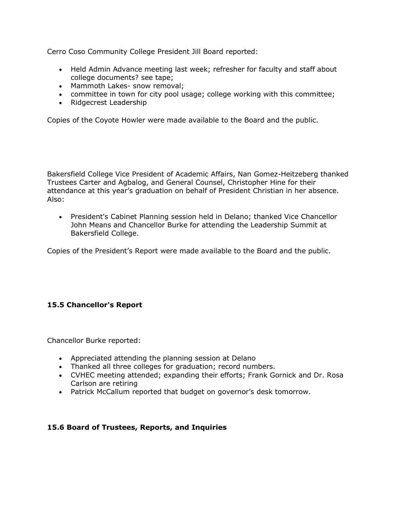Cerro Coso Community College President Jill Board reported:

- Held Admin Advance meeting last week; refresher for faculty and staff about college documents? see tape;
- Mammoth Lakes- snow removal;
- committee in town for city pool usage; college working with this committee;
- Ridgecrest Leadership

Copies of the Coyote Howler were made available to the Board and the public.

Bakersfield College Vice President of Academic Affairs, Nan Gomez-Heitzeberg thanked Trustees Carter and Agbalog, and General Counsel, Christopher Hine for their attendance at this year's graduation on behalf of President Christian in her absence. Also:

 President's Cabinet Planning session held in Delano; thanked Vice Chancellor John Means and Chancellor Burke for attending the Leadership Summit at Bakersfield College.

Copies of the President's Report were made available to the Board and the public.

# **15.5 Chancellor's Report**

Chancellor Burke reported:

- Appreciated attending the planning session at Delano
- Thanked all three colleges for graduation; record numbers.
- CVHEC meeting attended; expanding their efforts; Frank Gornick and Dr. Rosa Carlson are retiring
- Patrick McCallum reported that budget on governor's desk tomorrow.

## **15.6 Board of Trustees, Reports, and Inquiries**